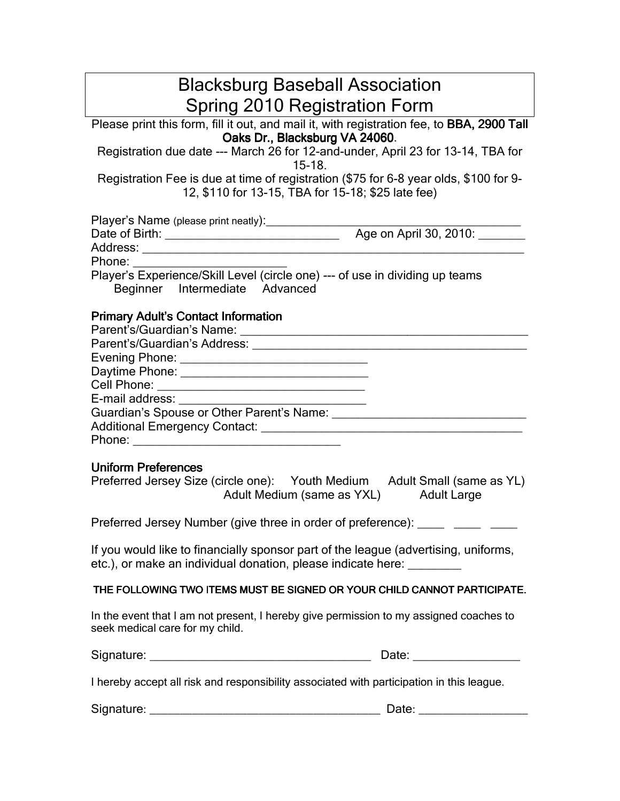| <b>Blacksburg Baseball Association</b>                                                                                                                        |                           |
|---------------------------------------------------------------------------------------------------------------------------------------------------------------|---------------------------|
| <b>Spring 2010 Registration Form</b>                                                                                                                          |                           |
| Please print this form, fill it out, and mail it, with registration fee, to BBA, 2900 Tall                                                                    |                           |
| Oaks Dr., Blacksburg VA 24060.<br>Registration due date --- March 26 for 12-and-under, April 23 for 13-14, TBA for<br>$15-18.$                                |                           |
| Registration Fee is due at time of registration (\$75 for 6-8 year olds, \$100 for 9-<br>12, \$110 for 13-15, TBA for 15-18; \$25 late fee)                   |                           |
|                                                                                                                                                               |                           |
|                                                                                                                                                               |                           |
| Phone:                                                                                                                                                        |                           |
| Player's Experience/Skill Level (circle one) --- of use in dividing up teams<br>Beginner Intermediate Advanced                                                |                           |
| <b>Primary Adult's Contact Information</b>                                                                                                                    |                           |
|                                                                                                                                                               |                           |
|                                                                                                                                                               |                           |
|                                                                                                                                                               |                           |
| E-mail address:                                                                                                                                               |                           |
|                                                                                                                                                               |                           |
|                                                                                                                                                               |                           |
| Phone: <u>___________________________</u>                                                                                                                     |                           |
| <b>Uniform Preferences</b>                                                                                                                                    |                           |
| Preferred Jersey Size (circle one): Youth Medium Adult Small (same as YL)<br>Adult Medium (same as YXL)                                                       | <b>Adult Large</b>        |
| Preferred Jersey Number (give three in order of preference):                                                                                                  |                           |
| If you would like to financially sponsor part of the league (advertising, uniforms,<br>etc.), or make an individual donation, please indicate here: _________ |                           |
| THE FOLLOWING TWO ITEMS MUST BE SIGNED OR YOUR CHILD CANNOT PARTICIPATE.                                                                                      |                           |
| In the event that I am not present, I hereby give permission to my assigned coaches to<br>seek medical care for my child.                                     |                           |
|                                                                                                                                                               |                           |
| I hereby accept all risk and responsibility associated with participation in this league.                                                                     |                           |
|                                                                                                                                                               | Date: ___________________ |